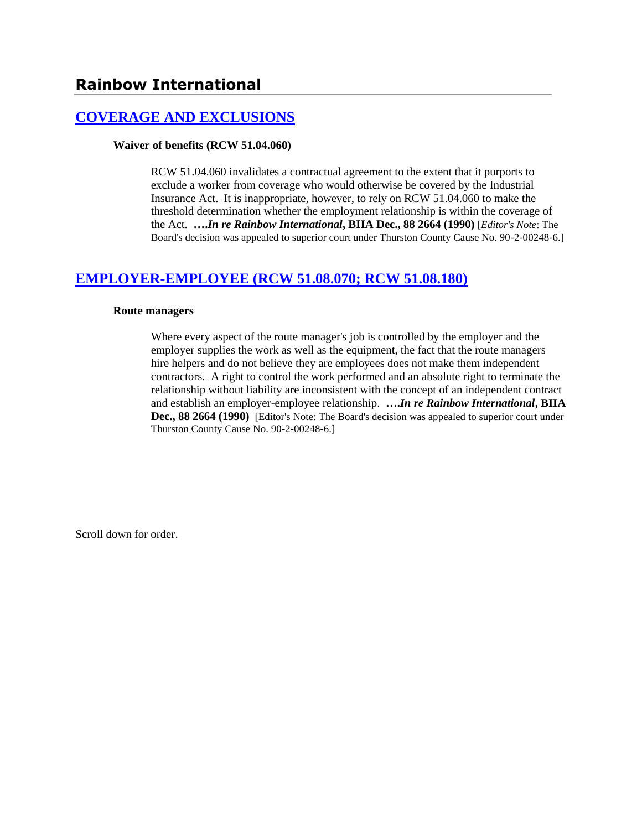# **[COVERAGE AND EXCLUSIONS](http://www.biia.wa.gov/SDSubjectIndex.html#COVERAGE_AND_EXCLUSIONS)**

### **Waiver of benefits (RCW 51.04.060)**

RCW 51.04.060 invalidates a contractual agreement to the extent that it purports to exclude a worker from coverage who would otherwise be covered by the Industrial Insurance Act. It is inappropriate, however, to rely on RCW 51.04.060 to make the threshold determination whether the employment relationship is within the coverage of the Act. **….***In re Rainbow International***, BIIA Dec., 88 2664 (1990)** [*Editor's Note*: The Board's decision was appealed to superior court under Thurston County Cause No. 90-2-00248-6.]

# **[EMPLOYER-EMPLOYEE \(RCW 51.08.070; RCW 51.08.180\)](http://www.biia.wa.gov/SDSubjectIndex.html#EMPLOYER_EMPLOYEE)**

#### **Route managers**

Where every aspect of the route manager's job is controlled by the employer and the employer supplies the work as well as the equipment, the fact that the route managers hire helpers and do not believe they are employees does not make them independent contractors. A right to control the work performed and an absolute right to terminate the relationship without liability are inconsistent with the concept of an independent contract and establish an employer-employee relationship. **….***In re Rainbow International***, BIIA Dec., 88 2664 (1990)** [Editor's Note: The Board's decision was appealed to superior court under Thurston County Cause No. 90-2-00248-6.]

Scroll down for order.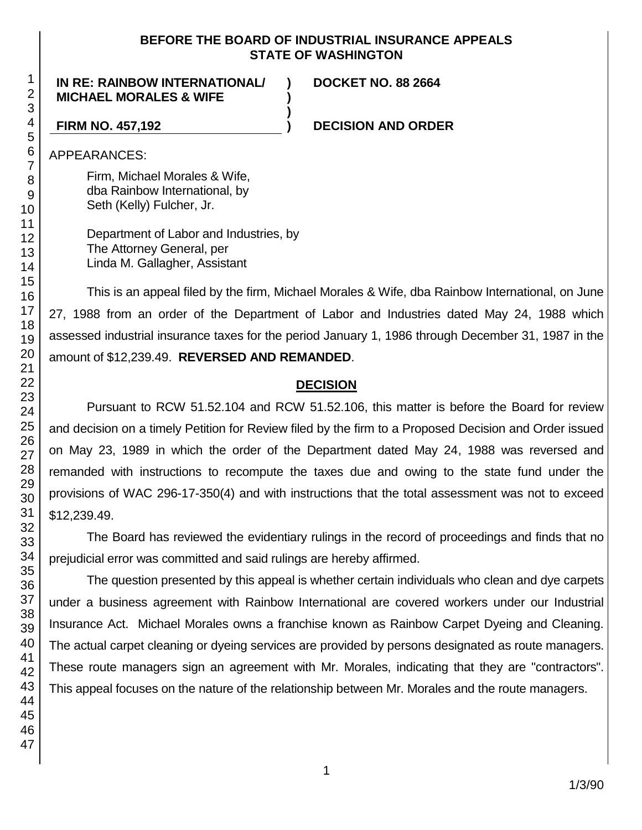## **BEFORE THE BOARD OF INDUSTRIAL INSURANCE APPEALS STATE OF WASHINGTON**

**) )**

**)**

## **IN RE: RAINBOW INTERNATIONAL/ MICHAEL MORALES & WIFE**

**DOCKET NO. 88 2664**

**FIRM NO. 457,192 ) DECISION AND ORDER**

APPEARANCES:

Firm, Michael Morales & Wife, dba Rainbow International, by Seth (Kelly) Fulcher, Jr.

Department of Labor and Industries, by The Attorney General, per Linda M. Gallagher, Assistant

This is an appeal filed by the firm, Michael Morales & Wife, dba Rainbow International, on June 27, 1988 from an order of the Department of Labor and Industries dated May 24, 1988 which assessed industrial insurance taxes for the period January 1, 1986 through December 31, 1987 in the amount of \$12,239.49. **REVERSED AND REMANDED**.

# **DECISION**

Pursuant to RCW 51.52.104 and RCW 51.52.106, this matter is before the Board for review and decision on a timely Petition for Review filed by the firm to a Proposed Decision and Order issued on May 23, 1989 in which the order of the Department dated May 24, 1988 was reversed and remanded with instructions to recompute the taxes due and owing to the state fund under the provisions of WAC 296-17-350(4) and with instructions that the total assessment was not to exceed \$12,239.49.

The Board has reviewed the evidentiary rulings in the record of proceedings and finds that no prejudicial error was committed and said rulings are hereby affirmed.

The question presented by this appeal is whether certain individuals who clean and dye carpets under a business agreement with Rainbow International are covered workers under our Industrial Insurance Act. Michael Morales owns a franchise known as Rainbow Carpet Dyeing and Cleaning. The actual carpet cleaning or dyeing services are provided by persons designated as route managers. These route managers sign an agreement with Mr. Morales, indicating that they are "contractors". This appeal focuses on the nature of the relationship between Mr. Morales and the route managers.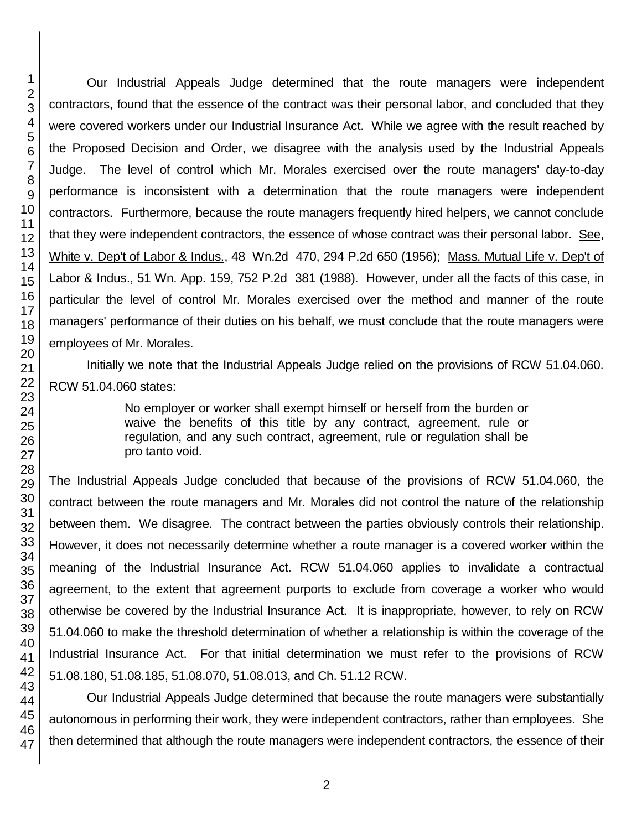Our Industrial Appeals Judge determined that the route managers were independent contractors, found that the essence of the contract was their personal labor, and concluded that they were covered workers under our Industrial Insurance Act. While we agree with the result reached by the Proposed Decision and Order, we disagree with the analysis used by the Industrial Appeals Judge. The level of control which Mr. Morales exercised over the route managers' day-to-day performance is inconsistent with a determination that the route managers were independent contractors. Furthermore, because the route managers frequently hired helpers, we cannot conclude that they were independent contractors, the essence of whose contract was their personal labor. See, White v. Dep't of Labor & Indus., 48 Wn.2d 470, 294 P.2d 650 (1956); Mass. Mutual Life v. Dep't of Labor & Indus., 51 Wn. App. 159, 752 P.2d 381 (1988). However, under all the facts of this case, in particular the level of control Mr. Morales exercised over the method and manner of the route managers' performance of their duties on his behalf, we must conclude that the route managers were employees of Mr. Morales.

Initially we note that the Industrial Appeals Judge relied on the provisions of RCW 51.04.060. RCW 51.04.060 states:

> No employer or worker shall exempt himself or herself from the burden or waive the benefits of this title by any contract, agreement, rule or regulation, and any such contract, agreement, rule or regulation shall be pro tanto void.

The Industrial Appeals Judge concluded that because of the provisions of RCW 51.04.060, the contract between the route managers and Mr. Morales did not control the nature of the relationship between them. We disagree. The contract between the parties obviously controls their relationship. However, it does not necessarily determine whether a route manager is a covered worker within the meaning of the Industrial Insurance Act. RCW 51.04.060 applies to invalidate a contractual agreement, to the extent that agreement purports to exclude from coverage a worker who would otherwise be covered by the Industrial Insurance Act. It is inappropriate, however, to rely on RCW 51.04.060 to make the threshold determination of whether a relationship is within the coverage of the Industrial Insurance Act. For that initial determination we must refer to the provisions of RCW 51.08.180, 51.08.185, 51.08.070, 51.08.013, and Ch. 51.12 RCW.

Our Industrial Appeals Judge determined that because the route managers were substantially autonomous in performing their work, they were independent contractors, rather than employees. She then determined that although the route managers were independent contractors, the essence of their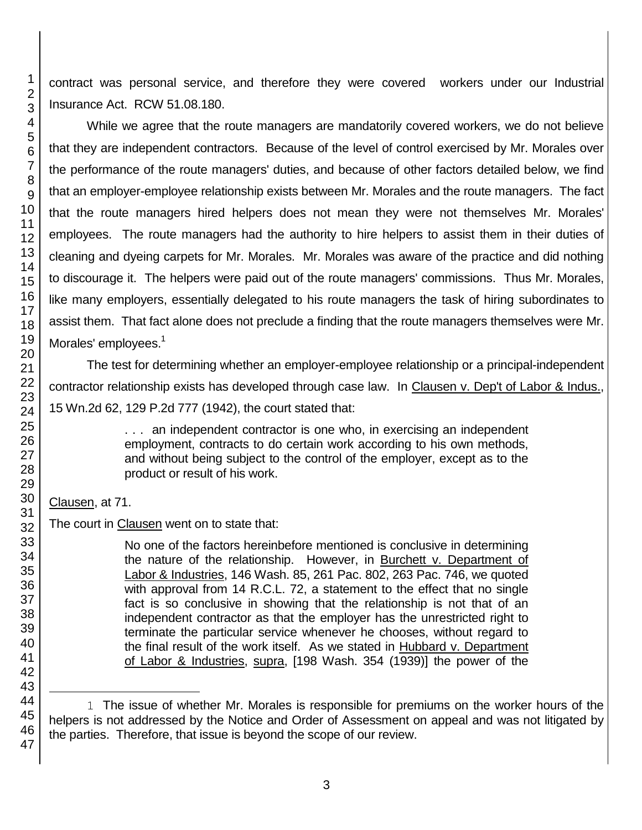contract was personal service, and therefore they were covered workers under our Industrial Insurance Act. RCW 51.08.180.

While we agree that the route managers are mandatorily covered workers, we do not believe that they are independent contractors. Because of the level of control exercised by Mr. Morales over the performance of the route managers' duties, and because of other factors detailed below, we find that an employer-employee relationship exists between Mr. Morales and the route managers. The fact that the route managers hired helpers does not mean they were not themselves Mr. Morales' employees. The route managers had the authority to hire helpers to assist them in their duties of cleaning and dyeing carpets for Mr. Morales. Mr. Morales was aware of the practice and did nothing to discourage it. The helpers were paid out of the route managers' commissions. Thus Mr. Morales, like many employers, essentially delegated to his route managers the task of hiring subordinates to assist them. That fact alone does not preclude a finding that the route managers themselves were Mr. Morales' employees.<sup>1</sup>

The test for determining whether an employer-employee relationship or a principal-independent contractor relationship exists has developed through case law. In Clausen v. Dep't of Labor & Indus., 15 Wn.2d 62, 129 P.2d 777 (1942), the court stated that:

> . . . an independent contractor is one who, in exercising an independent employment, contracts to do certain work according to his own methods, and without being subject to the control of the employer, except as to the product or result of his work.

# Clausen, at 71.

The court in Clausen went on to state that:

No one of the factors hereinbefore mentioned is conclusive in determining the nature of the relationship. However, in Burchett v. Department of Labor & Industries, 146 Wash. 85, 261 Pac. 802, 263 Pac. 746, we quoted with approval from 14 R.C.L. 72, a statement to the effect that no single fact is so conclusive in showing that the relationship is not that of an independent contractor as that the employer has the unrestricted right to terminate the particular service whenever he chooses, without regard to the final result of the work itself. As we stated in Hubbard v. Department of Labor & Industries, supra, [198 Wash. 354 (1939)] the power of the

l 1 The issue of whether Mr. Morales is responsible for premiums on the worker hours of the helpers is not addressed by the Notice and Order of Assessment on appeal and was not litigated by the parties. Therefore, that issue is beyond the scope of our review.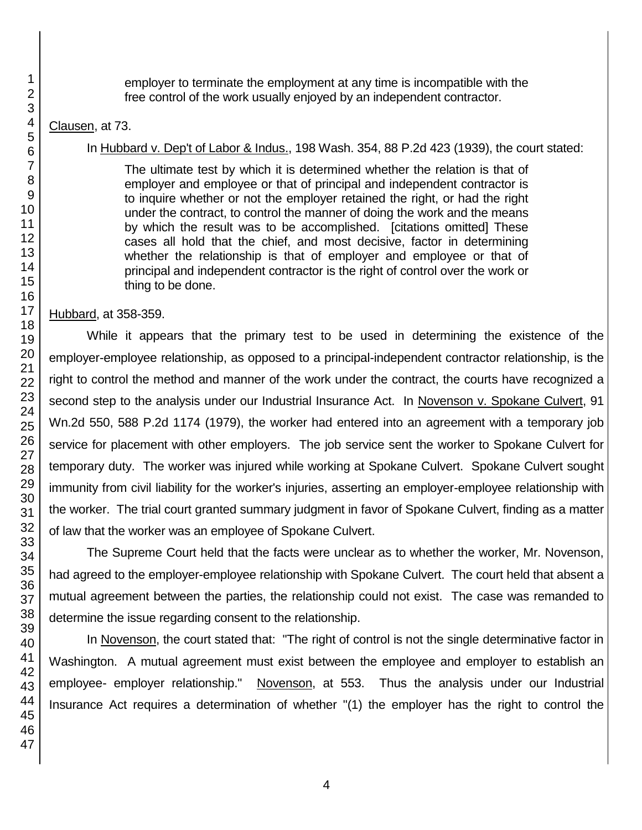employer to terminate the employment at any time is incompatible with the free control of the work usually enjoyed by an independent contractor.

# Clausen, at 73.

# In Hubbard v. Dep't of Labor & Indus., 198 Wash. 354, 88 P.2d 423 (1939), the court stated:

The ultimate test by which it is determined whether the relation is that of employer and employee or that of principal and independent contractor is to inquire whether or not the employer retained the right, or had the right under the contract, to control the manner of doing the work and the means by which the result was to be accomplished. [citations omitted] These cases all hold that the chief, and most decisive, factor in determining whether the relationship is that of employer and employee or that of principal and independent contractor is the right of control over the work or thing to be done.

# Hubbard, at 358-359.

While it appears that the primary test to be used in determining the existence of the employer-employee relationship, as opposed to a principal-independent contractor relationship, is the right to control the method and manner of the work under the contract, the courts have recognized a second step to the analysis under our Industrial Insurance Act. In Novenson v. Spokane Culvert, 91 Wn.2d 550, 588 P.2d 1174 (1979), the worker had entered into an agreement with a temporary job service for placement with other employers. The job service sent the worker to Spokane Culvert for temporary duty. The worker was injured while working at Spokane Culvert. Spokane Culvert sought immunity from civil liability for the worker's injuries, asserting an employer-employee relationship with the worker. The trial court granted summary judgment in favor of Spokane Culvert, finding as a matter of law that the worker was an employee of Spokane Culvert.

The Supreme Court held that the facts were unclear as to whether the worker, Mr. Novenson, had agreed to the employer-employee relationship with Spokane Culvert. The court held that absent a mutual agreement between the parties, the relationship could not exist. The case was remanded to determine the issue regarding consent to the relationship.

In Novenson, the court stated that: "The right of control is not the single determinative factor in Washington. A mutual agreement must exist between the employee and employer to establish an employee- employer relationship." Novenson, at 553. Thus the analysis under our Industrial Insurance Act requires a determination of whether "(1) the employer has the right to control the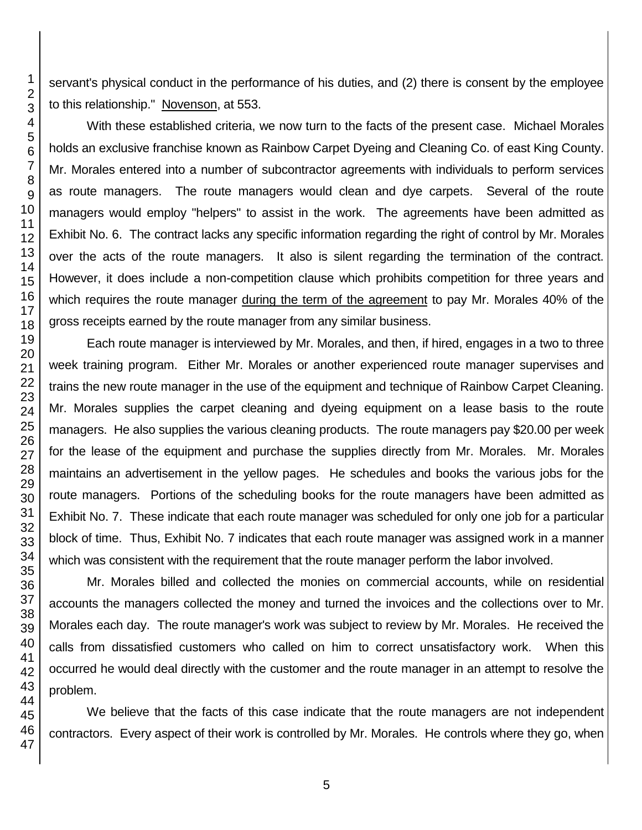servant's physical conduct in the performance of his duties, and (2) there is consent by the employee to this relationship." Novenson, at 553.

With these established criteria, we now turn to the facts of the present case. Michael Morales holds an exclusive franchise known as Rainbow Carpet Dyeing and Cleaning Co. of east King County. Mr. Morales entered into a number of subcontractor agreements with individuals to perform services as route managers. The route managers would clean and dye carpets. Several of the route managers would employ "helpers" to assist in the work. The agreements have been admitted as Exhibit No. 6. The contract lacks any specific information regarding the right of control by Mr. Morales over the acts of the route managers. It also is silent regarding the termination of the contract. However, it does include a non-competition clause which prohibits competition for three years and which requires the route manager during the term of the agreement to pay Mr. Morales 40% of the gross receipts earned by the route manager from any similar business.

Each route manager is interviewed by Mr. Morales, and then, if hired, engages in a two to three week training program. Either Mr. Morales or another experienced route manager supervises and trains the new route manager in the use of the equipment and technique of Rainbow Carpet Cleaning. Mr. Morales supplies the carpet cleaning and dyeing equipment on a lease basis to the route managers. He also supplies the various cleaning products. The route managers pay \$20.00 per week for the lease of the equipment and purchase the supplies directly from Mr. Morales. Mr. Morales maintains an advertisement in the yellow pages. He schedules and books the various jobs for the route managers. Portions of the scheduling books for the route managers have been admitted as Exhibit No. 7. These indicate that each route manager was scheduled for only one job for a particular block of time. Thus, Exhibit No. 7 indicates that each route manager was assigned work in a manner which was consistent with the requirement that the route manager perform the labor involved.

Mr. Morales billed and collected the monies on commercial accounts, while on residential accounts the managers collected the money and turned the invoices and the collections over to Mr. Morales each day. The route manager's work was subject to review by Mr. Morales. He received the calls from dissatisfied customers who called on him to correct unsatisfactory work. When this occurred he would deal directly with the customer and the route manager in an attempt to resolve the problem.

We believe that the facts of this case indicate that the route managers are not independent contractors. Every aspect of their work is controlled by Mr. Morales. He controls where they go, when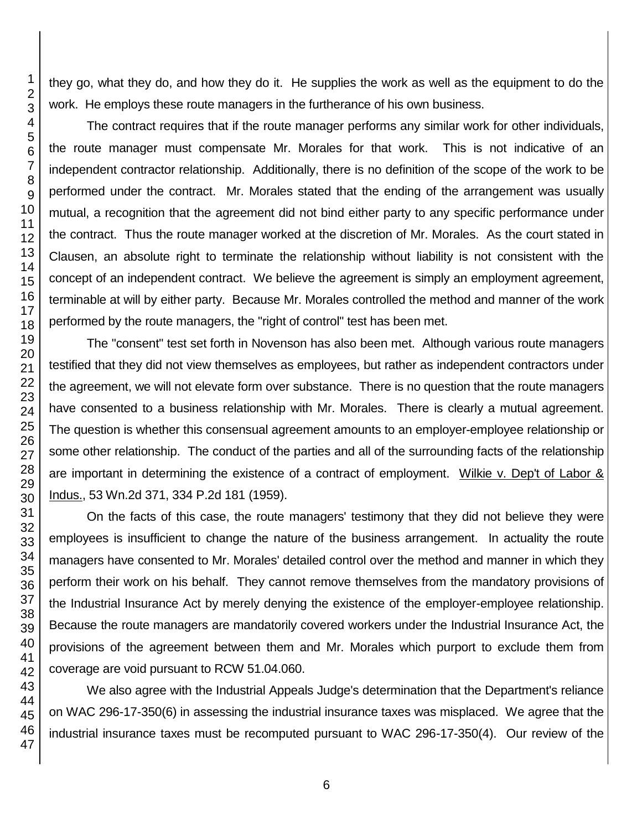they go, what they do, and how they do it. He supplies the work as well as the equipment to do the work. He employs these route managers in the furtherance of his own business.

The contract requires that if the route manager performs any similar work for other individuals, the route manager must compensate Mr. Morales for that work. This is not indicative of an independent contractor relationship. Additionally, there is no definition of the scope of the work to be performed under the contract. Mr. Morales stated that the ending of the arrangement was usually mutual, a recognition that the agreement did not bind either party to any specific performance under the contract. Thus the route manager worked at the discretion of Mr. Morales. As the court stated in Clausen, an absolute right to terminate the relationship without liability is not consistent with the concept of an independent contract. We believe the agreement is simply an employment agreement, terminable at will by either party. Because Mr. Morales controlled the method and manner of the work performed by the route managers, the "right of control" test has been met.

The "consent" test set forth in Novenson has also been met. Although various route managers testified that they did not view themselves as employees, but rather as independent contractors under the agreement, we will not elevate form over substance. There is no question that the route managers have consented to a business relationship with Mr. Morales. There is clearly a mutual agreement. The question is whether this consensual agreement amounts to an employer-employee relationship or some other relationship. The conduct of the parties and all of the surrounding facts of the relationship are important in determining the existence of a contract of employment. Wilkie v. Dep't of Labor & Indus., 53 Wn.2d 371, 334 P.2d 181 (1959).

On the facts of this case, the route managers' testimony that they did not believe they were employees is insufficient to change the nature of the business arrangement. In actuality the route managers have consented to Mr. Morales' detailed control over the method and manner in which they perform their work on his behalf. They cannot remove themselves from the mandatory provisions of the Industrial Insurance Act by merely denying the existence of the employer-employee relationship. Because the route managers are mandatorily covered workers under the Industrial Insurance Act, the provisions of the agreement between them and Mr. Morales which purport to exclude them from coverage are void pursuant to RCW 51.04.060.

We also agree with the Industrial Appeals Judge's determination that the Department's reliance on WAC 296-17-350(6) in assessing the industrial insurance taxes was misplaced. We agree that the industrial insurance taxes must be recomputed pursuant to WAC 296-17-350(4). Our review of the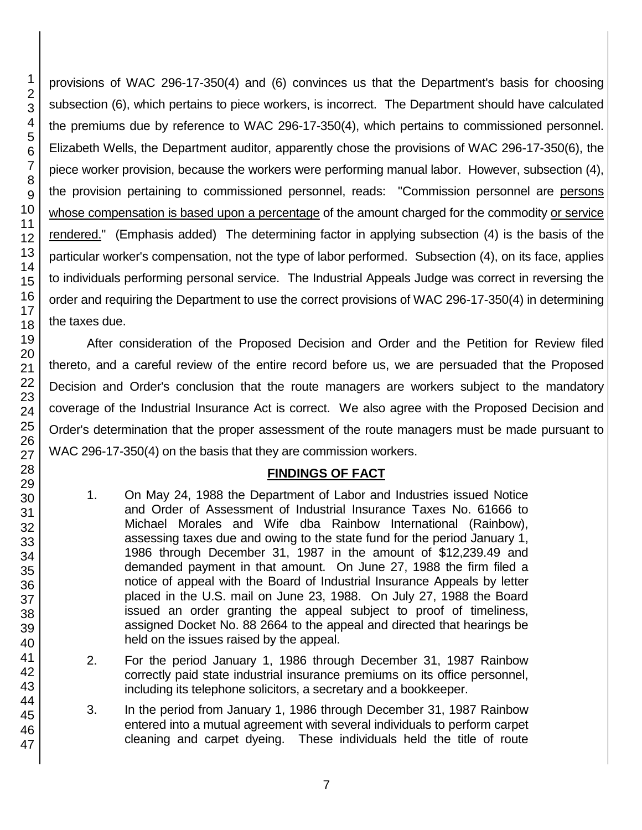46 47

1 2

provisions of WAC 296-17-350(4) and (6) convinces us that the Department's basis for choosing subsection (6), which pertains to piece workers, is incorrect. The Department should have calculated the premiums due by reference to WAC 296-17-350(4), which pertains to commissioned personnel. Elizabeth Wells, the Department auditor, apparently chose the provisions of WAC 296-17-350(6), the piece worker provision, because the workers were performing manual labor. However, subsection (4), the provision pertaining to commissioned personnel, reads: "Commission personnel are persons whose compensation is based upon a percentage of the amount charged for the commodity or service rendered." (Emphasis added) The determining factor in applying subsection (4) is the basis of the particular worker's compensation, not the type of labor performed. Subsection (4), on its face, applies to individuals performing personal service. The Industrial Appeals Judge was correct in reversing the order and requiring the Department to use the correct provisions of WAC 296-17-350(4) in determining

After consideration of the Proposed Decision and Order and the Petition for Review filed thereto, and a careful review of the entire record before us, we are persuaded that the Proposed Decision and Order's conclusion that the route managers are workers subject to the mandatory coverage of the Industrial Insurance Act is correct. We also agree with the Proposed Decision and Order's determination that the proper assessment of the route managers must be made pursuant to WAC 296-17-350(4) on the basis that they are commission workers.

# **FINDINGS OF FACT**

- 1. On May 24, 1988 the Department of Labor and Industries issued Notice and Order of Assessment of Industrial Insurance Taxes No. 61666 to Michael Morales and Wife dba Rainbow International (Rainbow), assessing taxes due and owing to the state fund for the period January 1, 1986 through December 31, 1987 in the amount of \$12,239.49 and demanded payment in that amount. On June 27, 1988 the firm filed a notice of appeal with the Board of Industrial Insurance Appeals by letter placed in the U.S. mail on June 23, 1988. On July 27, 1988 the Board issued an order granting the appeal subject to proof of timeliness, assigned Docket No. 88 2664 to the appeal and directed that hearings be held on the issues raised by the appeal.
- 2. For the period January 1, 1986 through December 31, 1987 Rainbow correctly paid state industrial insurance premiums on its office personnel, including its telephone solicitors, a secretary and a bookkeeper.
- 3. In the period from January 1, 1986 through December 31, 1987 Rainbow entered into a mutual agreement with several individuals to perform carpet cleaning and carpet dyeing. These individuals held the title of route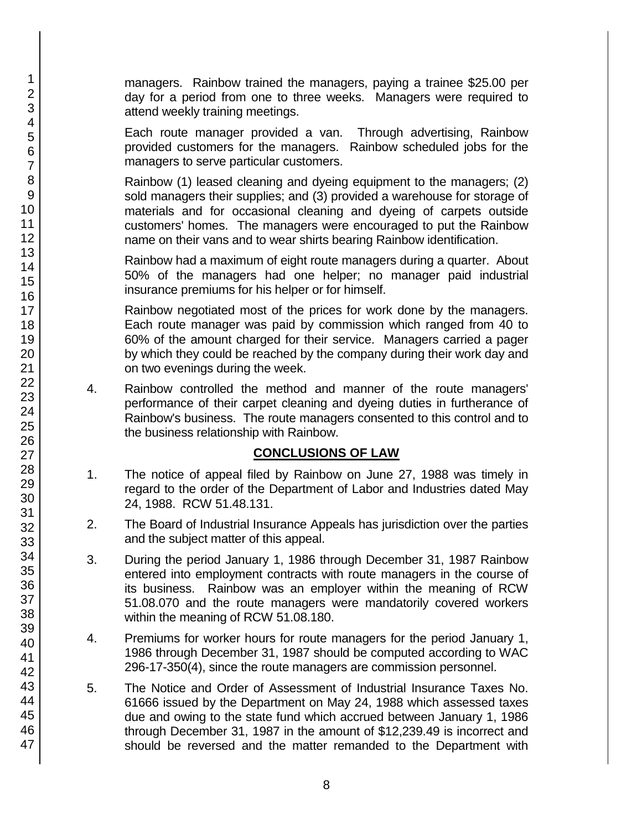managers. Rainbow trained the managers, paying a trainee \$25.00 per day for a period from one to three weeks. Managers were required to attend weekly training meetings.

Each route manager provided a van. Through advertising, Rainbow provided customers for the managers. Rainbow scheduled jobs for the managers to serve particular customers.

Rainbow (1) leased cleaning and dyeing equipment to the managers; (2) sold managers their supplies; and (3) provided a warehouse for storage of materials and for occasional cleaning and dyeing of carpets outside customers' homes. The managers were encouraged to put the Rainbow name on their vans and to wear shirts bearing Rainbow identification.

Rainbow had a maximum of eight route managers during a quarter. About 50% of the managers had one helper; no manager paid industrial insurance premiums for his helper or for himself.

Rainbow negotiated most of the prices for work done by the managers. Each route manager was paid by commission which ranged from 40 to 60% of the amount charged for their service. Managers carried a pager by which they could be reached by the company during their work day and on two evenings during the week.

4. Rainbow controlled the method and manner of the route managers' performance of their carpet cleaning and dyeing duties in furtherance of Rainbow's business. The route managers consented to this control and to the business relationship with Rainbow.

# **CONCLUSIONS OF LAW**

- 1. The notice of appeal filed by Rainbow on June 27, 1988 was timely in regard to the order of the Department of Labor and Industries dated May 24, 1988. RCW 51.48.131.
- 2. The Board of Industrial Insurance Appeals has jurisdiction over the parties and the subject matter of this appeal.
- 3. During the period January 1, 1986 through December 31, 1987 Rainbow entered into employment contracts with route managers in the course of its business. Rainbow was an employer within the meaning of RCW 51.08.070 and the route managers were mandatorily covered workers within the meaning of RCW 51.08.180.
- 4. Premiums for worker hours for route managers for the period January 1, 1986 through December 31, 1987 should be computed according to WAC 296-17-350(4), since the route managers are commission personnel.
- 5. The Notice and Order of Assessment of Industrial Insurance Taxes No. 61666 issued by the Department on May 24, 1988 which assessed taxes due and owing to the state fund which accrued between January 1, 1986 through December 31, 1987 in the amount of \$12,239.49 is incorrect and should be reversed and the matter remanded to the Department with